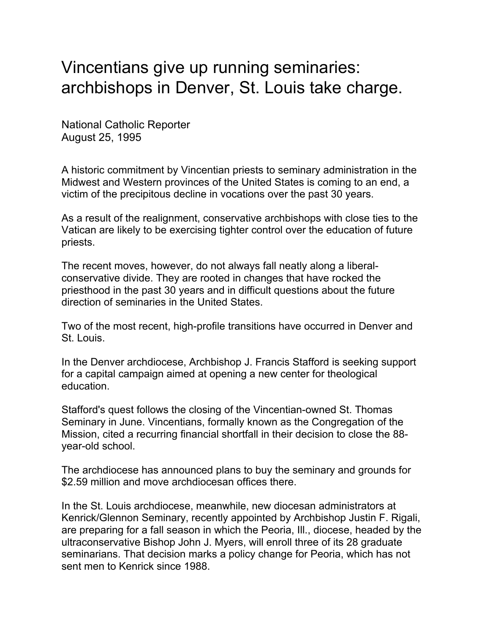## Vincentians give up running seminaries: archbishops in Denver, St. Louis take charge.

National Catholic Reporter August 25, 1995

A historic commitment by Vincentian priests to seminary administration in the Midwest and Western provinces of the United States is coming to an end, a victim of the precipitous decline in vocations over the past 30 years.

As a result of the realignment, conservative archbishops with close ties to the Vatican are likely to be exercising tighter control over the education of future priests.

The recent moves, however, do not always fall neatly along a liberalconservative divide. They are rooted in changes that have rocked the priesthood in the past 30 years and in difficult questions about the future direction of seminaries in the United States.

Two of the most recent, high-profile transitions have occurred in Denver and St. Louis.

In the Denver archdiocese, Archbishop J. Francis Stafford is seeking support for a capital campaign aimed at opening a new center for theological education.

Stafford's quest follows the closing of the Vincentian-owned St. Thomas Seminary in June. Vincentians, formally known as the Congregation of the Mission, cited a recurring financial shortfall in their decision to close the 88 year-old school.

The archdiocese has announced plans to buy the seminary and grounds for \$2.59 million and move archdiocesan offices there.

In the St. Louis archdiocese, meanwhile, new diocesan administrators at Kenrick/Glennon Seminary, recently appointed by Archbishop Justin F. Rigali, are preparing for a fall season in which the Peoria, Ill., diocese, headed by the ultraconservative Bishop John J. Myers, will enroll three of its 28 graduate seminarians. That decision marks a policy change for Peoria, which has not sent men to Kenrick since 1988.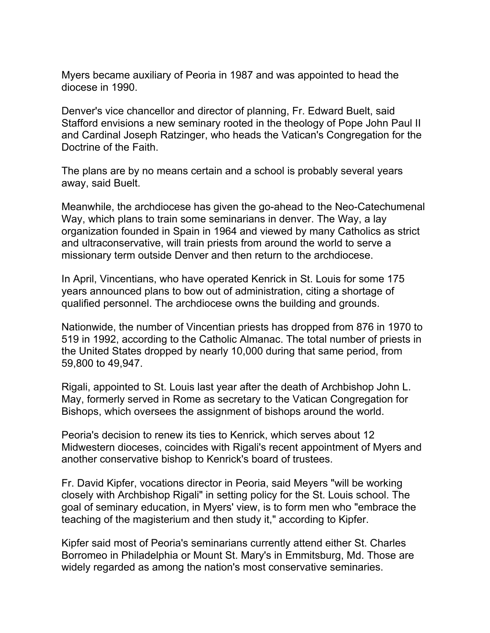Myers became auxiliary of Peoria in 1987 and was appointed to head the diocese in 1990.

Denver's vice chancellor and director of planning, Fr. Edward Buelt, said Stafford envisions a new seminary rooted in the theology of Pope John Paul II and Cardinal Joseph Ratzinger, who heads the Vatican's Congregation for the Doctrine of the Faith.

The plans are by no means certain and a school is probably several years away, said Buelt.

Meanwhile, the archdiocese has given the go-ahead to the Neo-Catechumenal Way, which plans to train some seminarians in denver. The Way, a lay organization founded in Spain in 1964 and viewed by many Catholics as strict and ultraconservative, will train priests from around the world to serve a missionary term outside Denver and then return to the archdiocese.

In April, Vincentians, who have operated Kenrick in St. Louis for some 175 years announced plans to bow out of administration, citing a shortage of qualified personnel. The archdiocese owns the building and grounds.

Nationwide, the number of Vincentian priests has dropped from 876 in 1970 to 519 in 1992, according to the Catholic Almanac. The total number of priests in the United States dropped by nearly 10,000 during that same period, from 59,800 to 49,947.

Rigali, appointed to St. Louis last year after the death of Archbishop John L. May, formerly served in Rome as secretary to the Vatican Congregation for Bishops, which oversees the assignment of bishops around the world.

Peoria's decision to renew its ties to Kenrick, which serves about 12 Midwestern dioceses, coincides with Rigali's recent appointment of Myers and another conservative bishop to Kenrick's board of trustees.

Fr. David Kipfer, vocations director in Peoria, said Meyers "will be working closely with Archbishop Rigali" in setting policy for the St. Louis school. The goal of seminary education, in Myers' view, is to form men who "embrace the teaching of the magisterium and then study it," according to Kipfer.

Kipfer said most of Peoria's seminarians currently attend either St. Charles Borromeo in Philadelphia or Mount St. Mary's in Emmitsburg, Md. Those are widely regarded as among the nation's most conservative seminaries.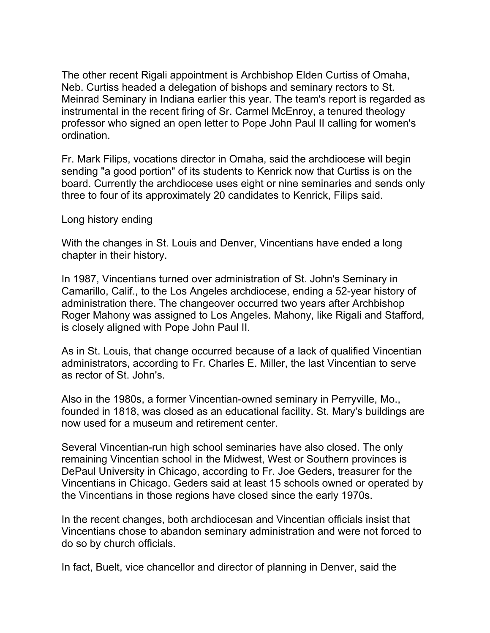The other recent Rigali appointment is Archbishop Elden Curtiss of Omaha, Neb. Curtiss headed a delegation of bishops and seminary rectors to St. Meinrad Seminary in Indiana earlier this year. The team's report is regarded as instrumental in the recent firing of Sr. Carmel McEnroy, a tenured theology professor who signed an open letter to Pope John Paul II calling for women's ordination.

Fr. Mark Filips, vocations director in Omaha, said the archdiocese will begin sending "a good portion" of its students to Kenrick now that Curtiss is on the board. Currently the archdiocese uses eight or nine seminaries and sends only three to four of its approximately 20 candidates to Kenrick, Filips said.

Long history ending

With the changes in St. Louis and Denver, Vincentians have ended a long chapter in their history.

In 1987, Vincentians turned over administration of St. John's Seminary in Camarillo, Calif., to the Los Angeles archdiocese, ending a 52-year history of administration there. The changeover occurred two years after Archbishop Roger Mahony was assigned to Los Angeles. Mahony, like Rigali and Stafford, is closely aligned with Pope John Paul II.

As in St. Louis, that change occurred because of a lack of qualified Vincentian administrators, according to Fr. Charles E. Miller, the last Vincentian to serve as rector of St. John's.

Also in the 1980s, a former Vincentian-owned seminary in Perryville, Mo., founded in 1818, was closed as an educational facility. St. Mary's buildings are now used for a museum and retirement center.

Several Vincentian-run high school seminaries have also closed. The only remaining Vincentian school in the Midwest, West or Southern provinces is DePaul University in Chicago, according to Fr. Joe Geders, treasurer for the Vincentians in Chicago. Geders said at least 15 schools owned or operated by the Vincentians in those regions have closed since the early 1970s.

In the recent changes, both archdiocesan and Vincentian officials insist that Vincentians chose to abandon seminary administration and were not forced to do so by church officials.

In fact, Buelt, vice chancellor and director of planning in Denver, said the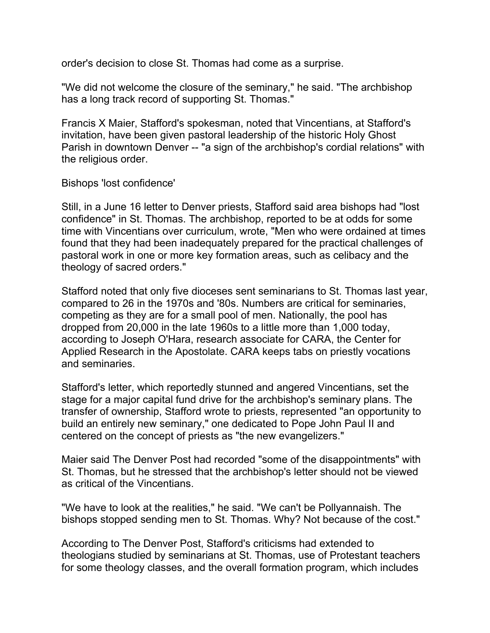order's decision to close St. Thomas had come as a surprise.

"We did not welcome the closure of the seminary," he said. "The archbishop has a long track record of supporting St. Thomas."

Francis X Maier, Stafford's spokesman, noted that Vincentians, at Stafford's invitation, have been given pastoral leadership of the historic Holy Ghost Parish in downtown Denver -- "a sign of the archbishop's cordial relations" with the religious order.

Bishops 'lost confidence'

Still, in a June 16 letter to Denver priests, Stafford said area bishops had "lost confidence" in St. Thomas. The archbishop, reported to be at odds for some time with Vincentians over curriculum, wrote, "Men who were ordained at times found that they had been inadequately prepared for the practical challenges of pastoral work in one or more key formation areas, such as celibacy and the theology of sacred orders."

Stafford noted that only five dioceses sent seminarians to St. Thomas last year, compared to 26 in the 1970s and '80s. Numbers are critical for seminaries, competing as they are for a small pool of men. Nationally, the pool has dropped from 20,000 in the late 1960s to a little more than 1,000 today, according to Joseph O'Hara, research associate for CARA, the Center for Applied Research in the Apostolate. CARA keeps tabs on priestly vocations and seminaries.

Stafford's letter, which reportedly stunned and angered Vincentians, set the stage for a major capital fund drive for the archbishop's seminary plans. The transfer of ownership, Stafford wrote to priests, represented "an opportunity to build an entirely new seminary," one dedicated to Pope John Paul II and centered on the concept of priests as "the new evangelizers."

Maier said The Denver Post had recorded "some of the disappointments" with St. Thomas, but he stressed that the archbishop's letter should not be viewed as critical of the Vincentians.

"We have to look at the realities," he said. "We can't be Pollyannaish. The bishops stopped sending men to St. Thomas. Why? Not because of the cost."

According to The Denver Post, Stafford's criticisms had extended to theologians studied by seminarians at St. Thomas, use of Protestant teachers for some theology classes, and the overall formation program, which includes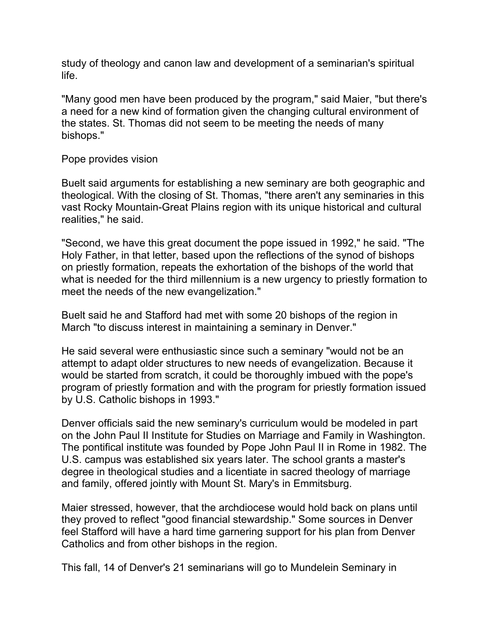study of theology and canon law and development of a seminarian's spiritual life.

"Many good men have been produced by the program," said Maier, "but there's a need for a new kind of formation given the changing cultural environment of the states. St. Thomas did not seem to be meeting the needs of many bishops."

## Pope provides vision

Buelt said arguments for establishing a new seminary are both geographic and theological. With the closing of St. Thomas, "there aren't any seminaries in this vast Rocky Mountain-Great Plains region with its unique historical and cultural realities," he said.

"Second, we have this great document the pope issued in 1992," he said. "The Holy Father, in that letter, based upon the reflections of the synod of bishops on priestly formation, repeats the exhortation of the bishops of the world that what is needed for the third millennium is a new urgency to priestly formation to meet the needs of the new evangelization."

Buelt said he and Stafford had met with some 20 bishops of the region in March "to discuss interest in maintaining a seminary in Denver."

He said several were enthusiastic since such a seminary "would not be an attempt to adapt older structures to new needs of evangelization. Because it would be started from scratch, it could be thoroughly imbued with the pope's program of priestly formation and with the program for priestly formation issued by U.S. Catholic bishops in 1993."

Denver officials said the new seminary's curriculum would be modeled in part on the John Paul II Institute for Studies on Marriage and Family in Washington. The pontifical institute was founded by Pope John Paul II in Rome in 1982. The U.S. campus was established six years later. The school grants a master's degree in theological studies and a licentiate in sacred theology of marriage and family, offered jointly with Mount St. Mary's in Emmitsburg.

Maier stressed, however, that the archdiocese would hold back on plans until they proved to reflect "good financial stewardship." Some sources in Denver feel Stafford will have a hard time garnering support for his plan from Denver Catholics and from other bishops in the region.

This fall, 14 of Denver's 21 seminarians will go to Mundelein Seminary in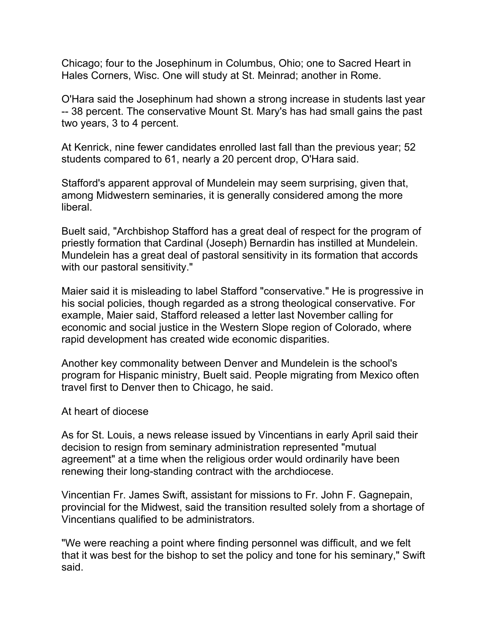Chicago; four to the Josephinum in Columbus, Ohio; one to Sacred Heart in Hales Corners, Wisc. One will study at St. Meinrad; another in Rome.

O'Hara said the Josephinum had shown a strong increase in students last year -- 38 percent. The conservative Mount St. Mary's has had small gains the past two years, 3 to 4 percent.

At Kenrick, nine fewer candidates enrolled last fall than the previous year; 52 students compared to 61, nearly a 20 percent drop, O'Hara said.

Stafford's apparent approval of Mundelein may seem surprising, given that, among Midwestern seminaries, it is generally considered among the more liberal.

Buelt said, "Archbishop Stafford has a great deal of respect for the program of priestly formation that Cardinal (Joseph) Bernardin has instilled at Mundelein. Mundelein has a great deal of pastoral sensitivity in its formation that accords with our pastoral sensitivity."

Maier said it is misleading to label Stafford "conservative." He is progressive in his social policies, though regarded as a strong theological conservative. For example, Maier said, Stafford released a letter last November calling for economic and social justice in the Western Slope region of Colorado, where rapid development has created wide economic disparities.

Another key commonality between Denver and Mundelein is the school's program for Hispanic ministry, Buelt said. People migrating from Mexico often travel first to Denver then to Chicago, he said.

## At heart of diocese

As for St. Louis, a news release issued by Vincentians in early April said their decision to resign from seminary administration represented "mutual agreement" at a time when the religious order would ordinarily have been renewing their long-standing contract with the archdiocese.

Vincentian Fr. James Swift, assistant for missions to Fr. John F. Gagnepain, provincial for the Midwest, said the transition resulted solely from a shortage of Vincentians qualified to be administrators.

"We were reaching a point where finding personnel was difficult, and we felt that it was best for the bishop to set the policy and tone for his seminary," Swift said.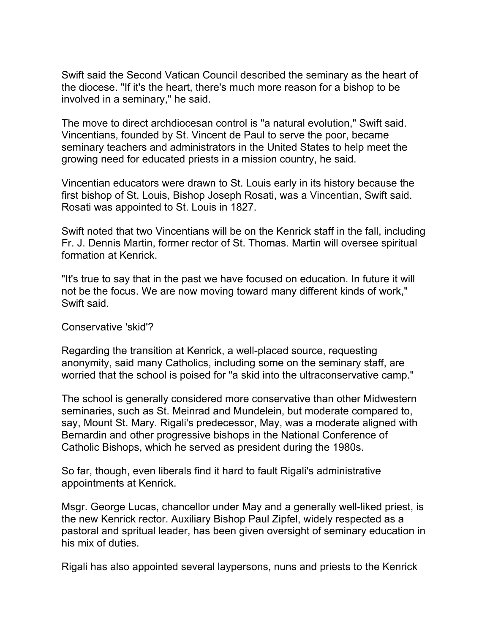Swift said the Second Vatican Council described the seminary as the heart of the diocese. "If it's the heart, there's much more reason for a bishop to be involved in a seminary," he said.

The move to direct archdiocesan control is "a natural evolution," Swift said. Vincentians, founded by St. Vincent de Paul to serve the poor, became seminary teachers and administrators in the United States to help meet the growing need for educated priests in a mission country, he said.

Vincentian educators were drawn to St. Louis early in its history because the first bishop of St. Louis, Bishop Joseph Rosati, was a Vincentian, Swift said. Rosati was appointed to St. Louis in 1827.

Swift noted that two Vincentians will be on the Kenrick staff in the fall, including Fr. J. Dennis Martin, former rector of St. Thomas. Martin will oversee spiritual formation at Kenrick.

"It's true to say that in the past we have focused on education. In future it will not be the focus. We are now moving toward many different kinds of work," Swift said.

## Conservative 'skid'?

Regarding the transition at Kenrick, a well-placed source, requesting anonymity, said many Catholics, including some on the seminary staff, are worried that the school is poised for "a skid into the ultraconservative camp."

The school is generally considered more conservative than other Midwestern seminaries, such as St. Meinrad and Mundelein, but moderate compared to, say, Mount St. Mary. Rigali's predecessor, May, was a moderate aligned with Bernardin and other progressive bishops in the National Conference of Catholic Bishops, which he served as president during the 1980s.

So far, though, even liberals find it hard to fault Rigali's administrative appointments at Kenrick.

Msgr. George Lucas, chancellor under May and a generally well-liked priest, is the new Kenrick rector. Auxiliary Bishop Paul Zipfel, widely respected as a pastoral and spritual leader, has been given oversight of seminary education in his mix of duties.

Rigali has also appointed several laypersons, nuns and priests to the Kenrick